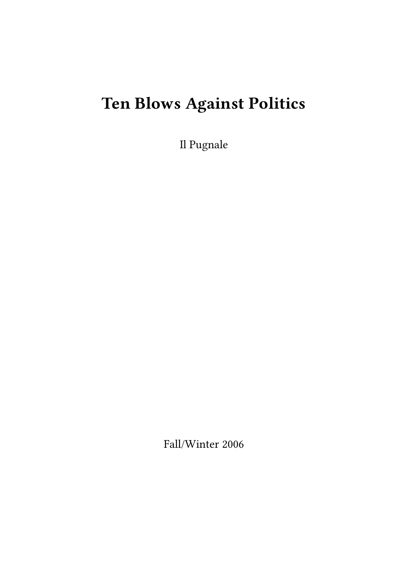# **Ten Blows Against Politics**

Il Pugnale

Fall/Winter 2006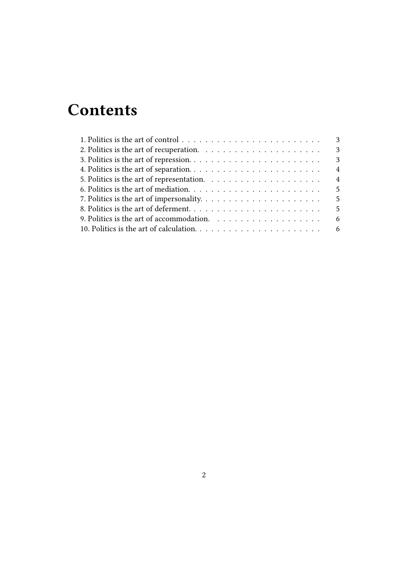## **Contents**

|                                                                                      | $\overline{3}$ |
|--------------------------------------------------------------------------------------|----------------|
|                                                                                      |                |
|                                                                                      |                |
|                                                                                      | $\overline{4}$ |
|                                                                                      | $\overline{4}$ |
|                                                                                      |                |
|                                                                                      |                |
|                                                                                      |                |
| 9. Politics is the art of accommodation. $\dots \dots \dots \dots \dots \dots \dots$ |                |
|                                                                                      |                |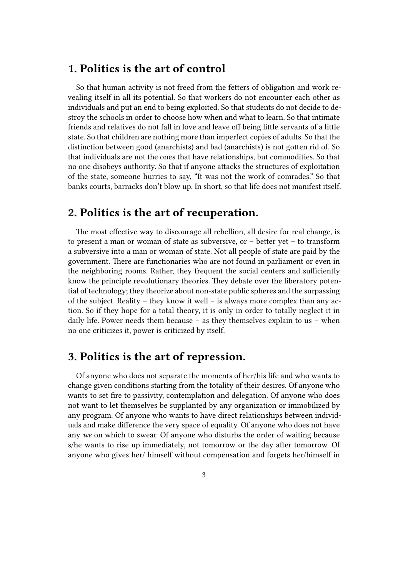#### <span id="page-2-0"></span>**1. Politics is the art of control**

So that human activity is not freed from the fetters of obligation and work revealing itself in all its potential. So that workers do not encounter each other as individuals and put an end to being exploited. So that students do not decide to destroy the schools in order to choose how when and what to learn. So that intimate friends and relatives do not fall in love and leave off being little servants of a little state. So that children are nothing more than imperfect copies of adults. So that the distinction between good (anarchists) and bad (anarchists) is not gotten rid of. So that individuals are not the ones that have relationships, but commodities. So that no one disobeys authority. So that if anyone attacks the structures of exploitation of the state, someone hurries to say, "It was not the work of comrades." So that banks courts, barracks don't blow up. In short, so that life does not manifest itself.

## <span id="page-2-1"></span>**2. Politics is the art of recuperation.**

The most effective way to discourage all rebellion, all desire for real change, is to present a man or woman of state as subversive, or – better yet – to transform a subversive into a man or woman of state. Not all people of state are paid by the government. There are functionaries who are not found in parliament or even in the neighboring rooms. Rather, they frequent the social centers and sufficiently know the principle revolutionary theories. They debate over the liberatory potential of technology; they theorize about non-state public spheres and the surpassing of the subject. Reality – they know it well – is always more complex than any action. So if they hope for a total theory, it is only in order to totally neglect it in daily life. Power needs them because – as they themselves explain to us – when no one criticizes it, power is criticized by itself.

## <span id="page-2-2"></span>**3. Politics is the art of repression.**

Of anyone who does not separate the moments of her/his life and who wants to change given conditions starting from the totality of their desires. Of anyone who wants to set fire to passivity, contemplation and delegation. Of anyone who does not want to let themselves be supplanted by any organization or immobilized by any program. Of anyone who wants to have direct relationships between individuals and make difference the very space of equality. Of anyone who does not have any *we* on which to swear. Of anyone who disturbs the order of waiting because s/he wants to rise up immediately, not tomorrow or the day after tomorrow. Of anyone who gives her/ himself without compensation and forgets her/himself in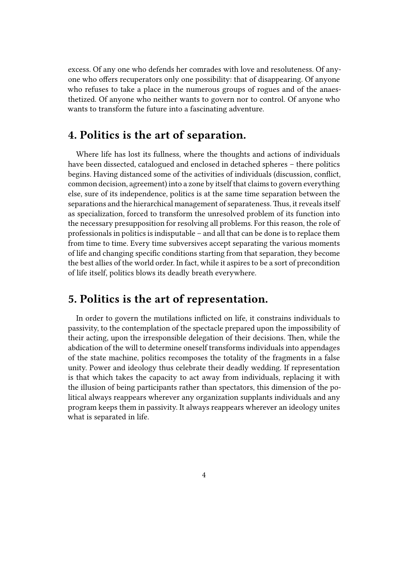excess. Of any one who defends her comrades with love and resoluteness. Of anyone who offers recuperators only one possibility: that of disappearing. Of anyone who refuses to take a place in the numerous groups of rogues and of the anaesthetized. Of anyone who neither wants to govern nor to control. Of anyone who wants to transform the future into a fascinating adventure.

## <span id="page-3-0"></span>**4. Politics is the art of separation.**

Where life has lost its fullness, where the thoughts and actions of individuals have been dissected, catalogued and enclosed in detached spheres – there politics begins. Having distanced some of the activities of individuals (discussion, conflict, common decision, agreement) into a zone by itself that claims to govern everything else, sure of its independence, politics is at the same time separation between the separations and the hierarchical management of separateness. Thus, it reveals itself as specialization, forced to transform the unresolved problem of its function into the necessary presupposition for resolving all problems. For this reason, the role of professionals in politics is indisputable – and all that can be done is to replace them from time to time. Every time subversives accept separating the various moments of life and changing specific conditions starting from that separation, they become the best allies of the world order. In fact, while it aspires to be a sort of precondition of life itself, politics blows its deadly breath everywhere.

## <span id="page-3-1"></span>**5. Politics is the art of representation.**

In order to govern the mutilations inflicted on life, it constrains individuals to passivity, to the contemplation of the spectacle prepared upon the impossibility of their acting, upon the irresponsible delegation of their decisions. Then, while the abdication of the will to determine oneself transforms individuals into appendages of the state machine, politics recomposes the totality of the fragments in a false unity. Power and ideology thus celebrate their deadly wedding. If representation is that which takes the capacity to act away from individuals, replacing it with the illusion of being participants rather than spectators, this dimension of the political always reappears wherever any organization supplants individuals and any program keeps them in passivity. It always reappears wherever an ideology unites what is separated in life.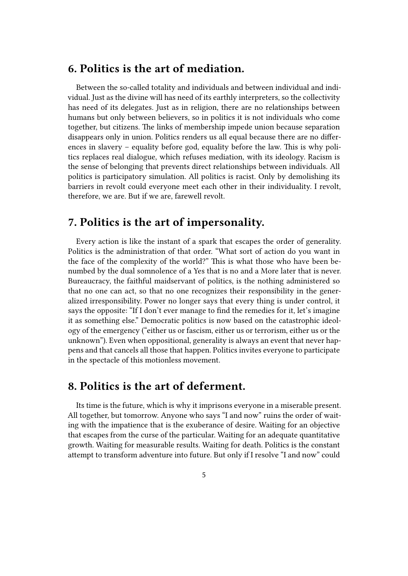#### <span id="page-4-0"></span>**6. Politics is the art of mediation.**

Between the so-called totality and individuals and between individual and individual. Just as the divine will has need of its earthly interpreters, so the collectivity has need of its delegates. Just as in religion, there are no relationships between humans but only between believers, so in politics it is not individuals who come together, but citizens. The links of membership impede union because separation disappears only in union. Politics renders us all equal because there are no differences in slavery – equality before god, equality before the law. This is why politics replaces real dialogue, which refuses mediation, with its ideology. Racism is the sense of belonging that prevents direct relationships between individuals. All politics is participatory simulation. All politics is racist. Only by demolishing its barriers in revolt could everyone meet each other in their individuality. I revolt, therefore, we are. But if we are, farewell revolt.

## <span id="page-4-1"></span>**7. Politics is the art of impersonality.**

Every action is like the instant of a spark that escapes the order of generality. Politics is the administration of that order. "What sort of action do you want in the face of the complexity of the world?" This is what those who have been benumbed by the dual somnolence of a Yes that is no and a More later that is never. Bureaucracy, the faithful maidservant of politics, is the nothing administered so that no one can act, so that no one recognizes their responsibility in the generalized irresponsibility. Power no longer says that every thing is under control, it says the opposite: "If I don't ever manage to find the remedies for it, let's imagine it as something else." Democratic politics is now based on the catastrophic ideology of the emergency ("either us or fascism, either us or terrorism, either us or the unknown"). Even when oppositional, generality is always an event that never happens and that cancels all those that happen. Politics invites everyone to participate in the spectacle of this motionless movement.

#### **8. Politics is the art of deferment.**

Its time is the future, which is why it imprisons everyone in a miserable present. All together, but tomorrow. Anyone who says "I and now" ruins the order of waiting with the impatience that is the exuberance of desire. Waiting for an objective that escapes from the curse of the particular. Waiting for an adequate quantitative growth. Waiting for measurable results. Waiting for death. Politics is the constant attempt to transform adventure into future. But only if I resolve "I and now" could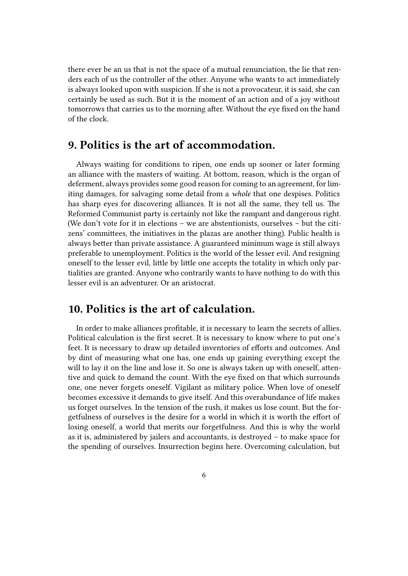there ever be an us that is not the space of a mutual renunciation, the lie that renders each of us the controller of the other. Anyone who wants to act immediately is always looked upon with suspicion. If she is not a provocateur, it is said, she can certainly be used as such. But it is the moment of an action and of a joy without tomorrows that carries us to the morning after. Without the eye fixed on the hand of the clock.

#### **9. Politics is the art of accommodation.**

Always waiting for conditions to ripen, one ends up sooner or later forming an alliance with the masters of waiting. At bottom, reason, which is the organ of deferment, always provides some good reason for coming to an agreement, for limiting damages, for salvaging some detail from a *whole* that one despises. Politics has sharp eyes for discovering alliances. It is not all the same, they tell us. The Reformed Communist party is certainly not like the rampant and dangerous right. (We don't vote for it in elections – we are abstentionists, ourselves – but the citizens' committees, the initiatives in the plazas are another thing). Public health is always better than private assistance. A guaranteed minimum wage is still always preferable to unemployment. Politics is the world of the lesser evil. And resigning oneself to the lesser evil, little by little one accepts the totality in which only partialities are granted. Anyone who contrarily wants to have nothing to do with this lesser evil is an adventurer. Or an aristocrat.

## **10. Politics is the art of calculation.**

In order to make alliances profitable, it is necessary to learn the secrets of allies. Political calculation is the first secret. It is necessary to know where to put one's feet. It is necessary to draw up detailed inventories of efforts and outcomes. And by dint of measuring what one has, one ends up gaining everything except the will to lay it on the line and lose it. So one is always taken up with oneself, attentive and quick to demand the count. With the eye fixed on that which surrounds one, one never forgets oneself. Vigilant as military police. When love of oneself becomes excessive it demands to give itself. And this overabundance of life makes us forget ourselves. In the tension of the rush, it makes us lose count. But the forgetfulness of ourselves is the desire for a world in which it is worth the effort of losing oneself, a world that merits our forgetfulness. And this is why the world as it is, administered by jailers and accountants, is destroyed – to make space for the spending of ourselves. Insurrection begins here. Overcoming calculation, but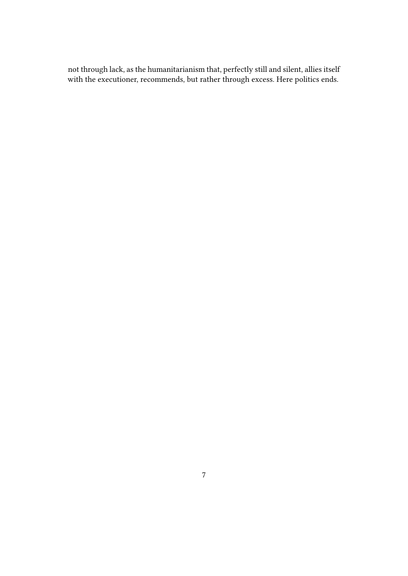not through lack, as the humanitarianism that, perfectly still and silent, allies itself with the executioner, recommends, but rather through excess. Here politics ends.